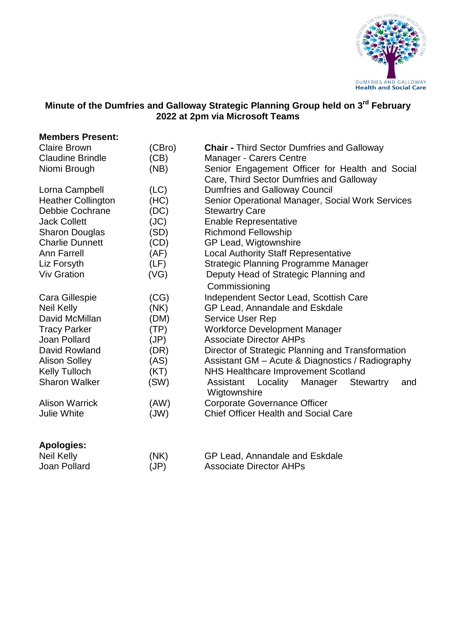

#### **Minute of the Dumfries and Galloway Strategic Planning Group held on 3 rd February 2022 at 2pm via Microsoft Teams**

| <b>Members Present:</b>   |        |                                                                             |
|---------------------------|--------|-----------------------------------------------------------------------------|
| <b>Claire Brown</b>       | (CBro) | <b>Chair - Third Sector Dumfries and Galloway</b>                           |
| <b>Claudine Brindle</b>   | (CB)   | Manager - Carers Centre                                                     |
| Niomi Brough              | (NB)   | Senior Engagement Officer for Health and Social                             |
|                           |        | Care, Third Sector Dumfries and Galloway                                    |
| Lorna Campbell            | (LC)   | <b>Dumfries and Galloway Council</b>                                        |
| <b>Heather Collington</b> | (HC)   | Senior Operational Manager, Social Work Services                            |
| Debbie Cochrane           | (DC)   | <b>Stewartry Care</b>                                                       |
| <b>Jack Collett</b>       | (JC)   | <b>Enable Representative</b>                                                |
| <b>Sharon Douglas</b>     | (SD)   | <b>Richmond Fellowship</b>                                                  |
| <b>Charlie Dunnett</b>    | (CD)   | GP Lead, Wigtownshire                                                       |
| <b>Ann Farrell</b>        | (AF)   | <b>Local Authority Staff Representative</b>                                 |
| Liz Forsyth               | (LF)   | <b>Strategic Planning Programme Manager</b>                                 |
| <b>Viv Gration</b>        | (VG)   | Deputy Head of Strategic Planning and<br>Commissioning                      |
|                           |        |                                                                             |
| <b>Neil Kelly</b>         | (NK)   | GP Lead, Annandale and Eskdale                                              |
| David McMillan            | (DM)   | <b>Service User Rep</b>                                                     |
| <b>Tracy Parker</b>       | (TP)   | <b>Workforce Development Manager</b>                                        |
| Joan Pollard              | (JP)   | <b>Associate Director AHPs</b>                                              |
| David Rowland             | (DR)   | Director of Strategic Planning and Transformation                           |
| <b>Alison Solley</b>      | (AS)   | Assistant GM - Acute & Diagnostics / Radiography                            |
| <b>Kelly Tulloch</b>      | (KT)   | <b>NHS Healthcare Improvement Scotland</b>                                  |
| <b>Sharon Walker</b>      | (SW)   | Locality<br>Assistant<br>Manager<br><b>Stewartry</b><br>and<br>Wigtownshire |
| <b>Alison Warrick</b>     | (AW)   | <b>Corporate Governance Officer</b>                                         |
| <b>Julie White</b>        | (JW)   | <b>Chief Officer Health and Social Care</b>                                 |
| <b>Apologies:</b>         |        |                                                                             |
| <b>Neil Kelly</b>         | (NK)   | GP Lead, Annandale and Eskdale                                              |
| Joan Pollard              | (JP)   | <b>Associate Director AHPs</b>                                              |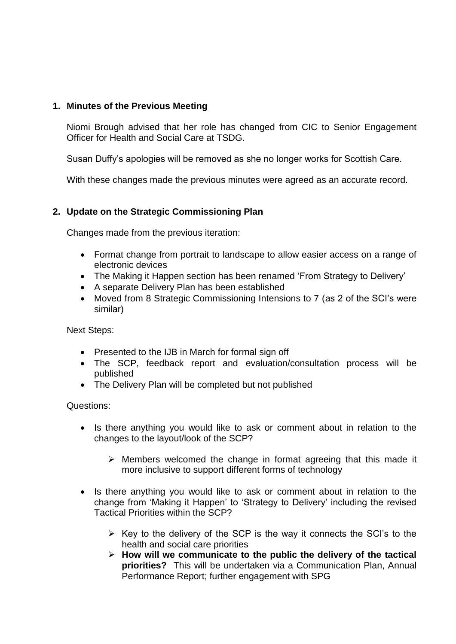### **1. Minutes of the Previous Meeting**

Niomi Brough advised that her role has changed from CIC to Senior Engagement Officer for Health and Social Care at TSDG.

Susan Duffy's apologies will be removed as she no longer works for Scottish Care.

With these changes made the previous minutes were agreed as an accurate record.

## **2. Update on the Strategic Commissioning Plan**

Changes made from the previous iteration:

- Format change from portrait to landscape to allow easier access on a range of electronic devices
- The Making it Happen section has been renamed 'From Strategy to Delivery'
- A separate Delivery Plan has been established
- Moved from 8 Strategic Commissioning Intensions to 7 (as 2 of the SCI's were similar)

Next Steps:

- Presented to the IJB in March for formal sign off
- The SCP, feedback report and evaluation/consultation process will be published
- The Delivery Plan will be completed but not published

Questions:

- Is there anything you would like to ask or comment about in relation to the changes to the layout/look of the SCP?
	- $\triangleright$  Members welcomed the change in format agreeing that this made it more inclusive to support different forms of technology
- Is there anything you would like to ask or comment about in relation to the change from 'Making it Happen' to 'Strategy to Delivery' including the revised Tactical Priorities within the SCP?
	- $\triangleright$  Key to the delivery of the SCP is the way it connects the SCI's to the health and social care priorities
	- **How will we communicate to the public the delivery of the tactical priorities?** This will be undertaken via a Communication Plan, Annual Performance Report; further engagement with SPG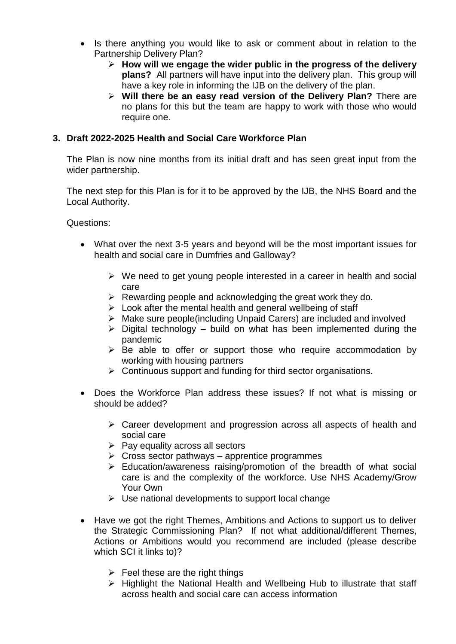- Is there anything you would like to ask or comment about in relation to the Partnership Delivery Plan?
	- **How will we engage the wider public in the progress of the delivery plans?** All partners will have input into the delivery plan. This group will have a key role in informing the IJB on the delivery of the plan.
	- **Will there be an easy read version of the Delivery Plan?** There are no plans for this but the team are happy to work with those who would require one.

#### **3. Draft 2022-2025 Health and Social Care Workforce Plan**

The Plan is now nine months from its initial draft and has seen great input from the wider partnership.

The next step for this Plan is for it to be approved by the IJB, the NHS Board and the Local Authority.

Questions:

- What over the next 3-5 years and beyond will be the most important issues for health and social care in Dumfries and Galloway?
	- $\triangleright$  We need to get young people interested in a career in health and social care
	- $\triangleright$  Rewarding people and acknowledging the great work they do.
	- $\triangleright$  Look after the mental health and general wellbeing of staff
	- Make sure people(including Unpaid Carers) are included and involved
	- $\triangleright$  Digital technology build on what has been implemented during the pandemic
	- $\triangleright$  Be able to offer or support those who require accommodation by working with housing partners
	- $\triangleright$  Continuous support and funding for third sector organisations.
- Does the Workforce Plan address these issues? If not what is missing or should be added?
	- Career development and progression across all aspects of health and social care
	- $\triangleright$  Pay equality across all sectors
	- $\triangleright$  Cross sector pathways apprentice programmes
	- $\triangleright$  Education/awareness raising/promotion of the breadth of what social care is and the complexity of the workforce. Use NHS Academy/Grow Your Own
	- $\triangleright$  Use national developments to support local change
- Have we got the right Themes, Ambitions and Actions to support us to deliver the Strategic Commissioning Plan? If not what additional/different Themes, Actions or Ambitions would you recommend are included (please describe which SCI it links to)?
	- $\triangleright$  Feel these are the right things
	- $\triangleright$  Highlight the National Health and Wellbeing Hub to illustrate that staff across health and social care can access information